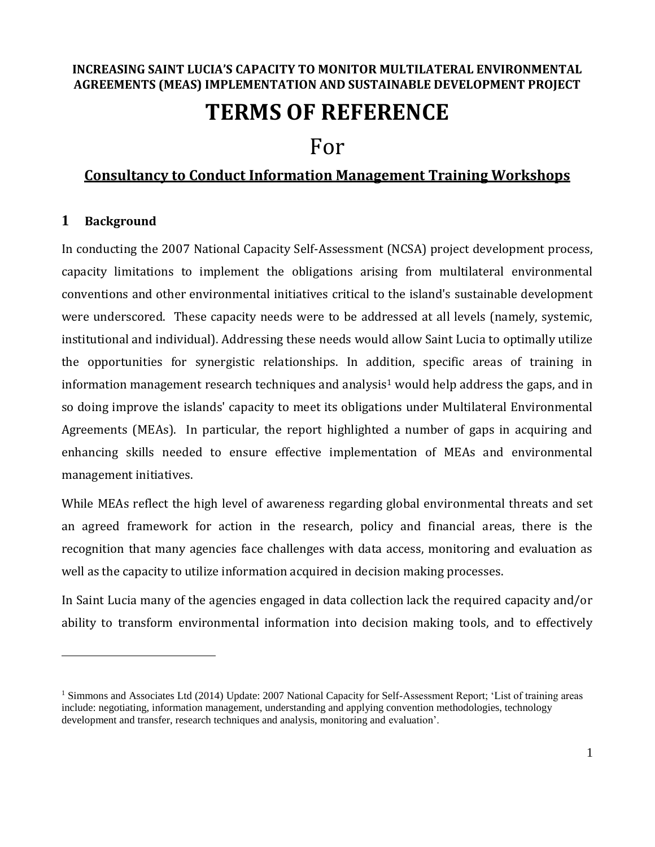#### **INCREASING SAINT LUCIA'S CAPACITY TO MONITOR MULTILATERAL ENVIRONMENTAL AGREEMENTS (MEAS) IMPLEMENTATION AND SUSTAINABLE DEVELOPMENT PROJECT**

# **TERMS OF REFERENCE**

## For

### **Consultancy to Conduct Information Management Training Workshops**

#### **1 Background**

 $\overline{a}$ 

In conducting the 2007 National Capacity Self-Assessment (NCSA) project development process, capacity limitations to implement the obligations arising from multilateral environmental conventions and other environmental initiatives critical to the island's sustainable development were underscored. These capacity needs were to be addressed at all levels (namely, systemic, institutional and individual). Addressing these needs would allow Saint Lucia to optimally utilize the opportunities for synergistic relationships. In addition, specific areas of training in information management research techniques and analysis<sup>1</sup> would help address the gaps, and in so doing improve the islands' capacity to meet its obligations under Multilateral Environmental Agreements (MEAs). In particular, the report highlighted a number of gaps in acquiring and enhancing skills needed to ensure effective implementation of MEAs and environmental management initiatives.

While MEAs reflect the high level of awareness regarding global environmental threats and set an agreed framework for action in the research, policy and financial areas, there is the recognition that many agencies face challenges with data access, monitoring and evaluation as well as the capacity to utilize information acquired in decision making processes.

In Saint Lucia many of the agencies engaged in data collection lack the required capacity and/or ability to transform environmental information into decision making tools, and to effectively

<sup>&</sup>lt;sup>1</sup> Simmons and Associates Ltd (2014) Update: 2007 National Capacity for Self-Assessment Report; 'List of training areas include: negotiating, information management, understanding and applying convention methodologies, technology development and transfer, research techniques and analysis, monitoring and evaluation'.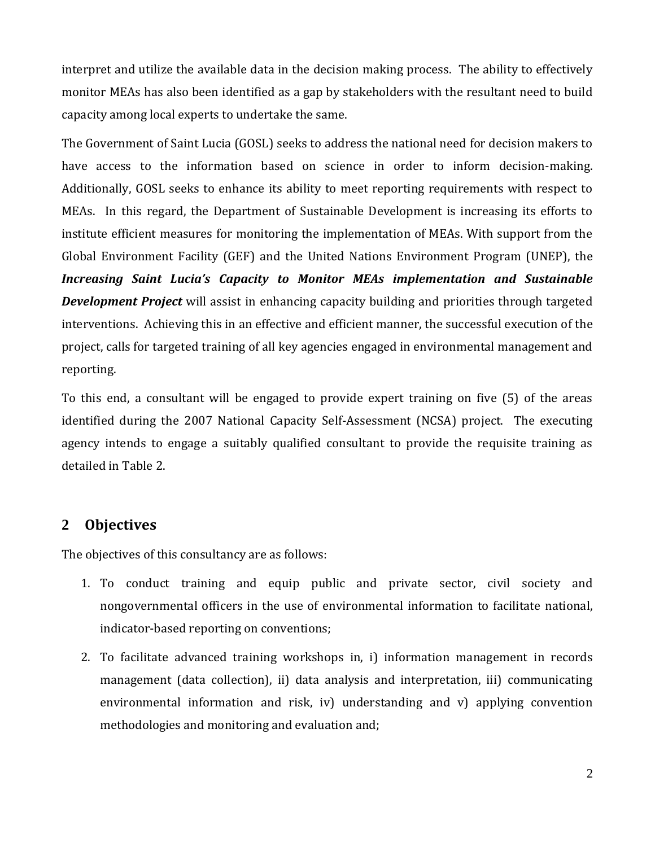interpret and utilize the available data in the decision making process. The ability to effectively monitor MEAs has also been identified as a gap by stakeholders with the resultant need to build capacity among local experts to undertake the same.

The Government of Saint Lucia (GOSL) seeks to address the national need for decision makers to have access to the information based on science in order to inform decision-making. Additionally, GOSL seeks to enhance its ability to meet reporting requirements with respect to MEAs. In this regard, the Department of Sustainable Development is increasing its efforts to institute efficient measures for monitoring the implementation of MEAs. With support from the Global Environment Facility (GEF) and the United Nations Environment Program (UNEP), the *Increasing Saint Lucia's Capacity to Monitor MEAs implementation and Sustainable Development Project* will assist in enhancing capacity building and priorities through targeted interventions. Achieving this in an effective and efficient manner, the successful execution of the project, calls for targeted training of all key agencies engaged in environmental management and reporting.

To this end, a consultant will be engaged to provide expert training on five (5) of the areas identified during the 2007 National Capacity Self-Assessment (NCSA) project. The executing agency intends to engage a suitably qualified consultant to provide the requisite training as detailed in Table 2.

### **2 Objectives**

The objectives of this consultancy are as follows:

- 1. To conduct training and equip public and private sector, civil society and nongovernmental officers in the use of environmental information to facilitate national, indicator-based reporting on conventions;
- 2. To facilitate advanced training workshops in, i) information management in records management (data collection), ii) data analysis and interpretation, iii) communicating environmental information and risk, iv) understanding and v) applying convention methodologies and monitoring and evaluation and;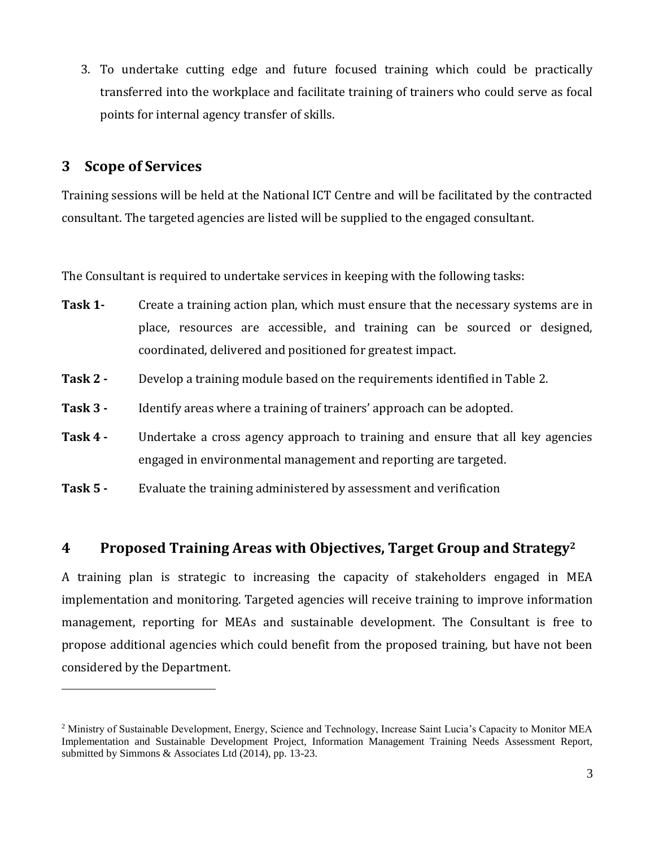3. To undertake cutting edge and future focused training which could be practically transferred into the workplace and facilitate training of trainers who could serve as focal points for internal agency transfer of skills.

### **3 Scope of Services**

 $\overline{a}$ 

Training sessions will be held at the National ICT Centre and will be facilitated by the contracted consultant. The targeted agencies are listed will be supplied to the engaged consultant.

The Consultant is required to undertake services in keeping with the following tasks:

- **Task 1-** Create a training action plan, which must ensure that the necessary systems are in place, resources are accessible, and training can be sourced or designed, coordinated, delivered and positioned for greatest impact.
- **Task 2 -** Develop a training module based on the requirements identified in Table 2.
- **Task 3 -** Identify areas where a training of trainers' approach can be adopted.
- **Task 4 -** Undertake a cross agency approach to training and ensure that all key agencies engaged in environmental management and reporting are targeted.
- **Task 5 -** Evaluate the training administered by assessment and verification

### **4 Proposed Training Areas with Objectives, Target Group and Strategy<sup>2</sup>**

A training plan is strategic to increasing the capacity of stakeholders engaged in MEA implementation and monitoring. Targeted agencies will receive training to improve information management, reporting for MEAs and sustainable development. The Consultant is free to propose additional agencies which could benefit from the proposed training, but have not been considered by the Department.

<sup>2</sup> Ministry of Sustainable Development, Energy, Science and Technology, Increase Saint Lucia's Capacity to Monitor MEA Implementation and Sustainable Development Project, Information Management Training Needs Assessment Report, submitted by Simmons & Associates Ltd (2014), pp. 13-23.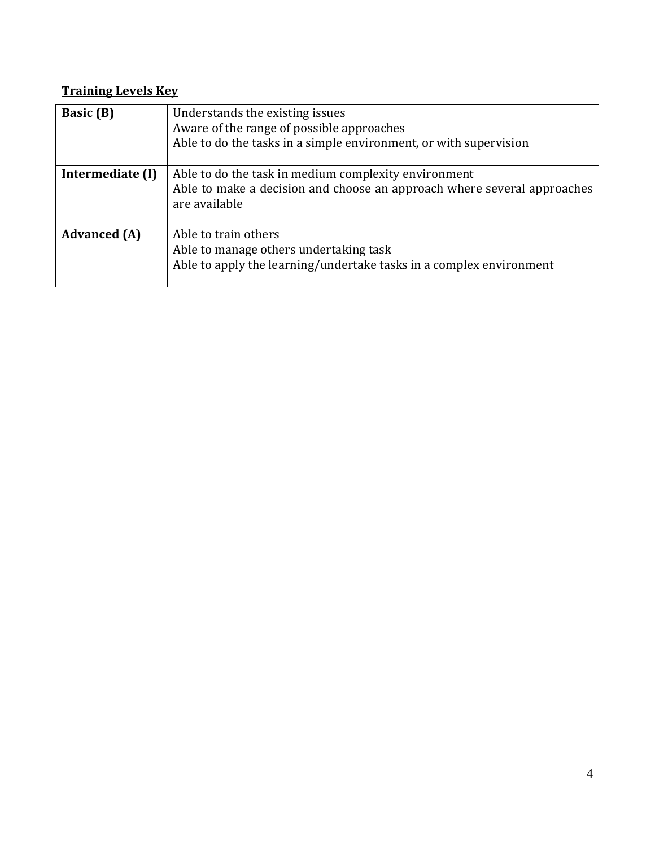### **Training Levels Key**

| <b>Basic</b> (B)    | Understands the existing issues<br>Aware of the range of possible approaches<br>Able to do the tasks in a simple environment, or with supervision |
|---------------------|---------------------------------------------------------------------------------------------------------------------------------------------------|
| Intermediate (I)    | Able to do the task in medium complexity environment<br>Able to make a decision and choose an approach where several approaches<br>are available  |
| <b>Advanced</b> (A) | Able to train others<br>Able to manage others undertaking task<br>Able to apply the learning/undertake tasks in a complex environment             |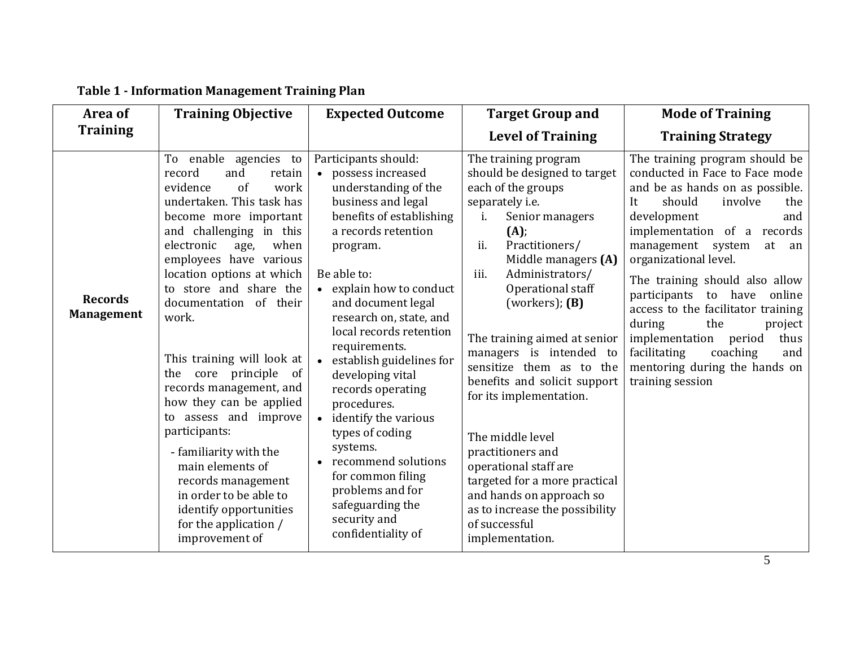| Area of                             | <b>Training Objective</b>                                                                                                                                                                                                                                                                                                                                                                                                                                                                                                                                                                                                               | <b>Expected Outcome</b>                                                                                                                                                                                                                                                                                                                                                                                                                                                                                                                                                                         | <b>Target Group and</b>                                                                                                                                                                                                                                                                                                                                                                                                                                                                                                                                                                             | <b>Mode of Training</b>                                                                                                                                                                                                                                                                                                                                                                                                                                                                                                |
|-------------------------------------|-----------------------------------------------------------------------------------------------------------------------------------------------------------------------------------------------------------------------------------------------------------------------------------------------------------------------------------------------------------------------------------------------------------------------------------------------------------------------------------------------------------------------------------------------------------------------------------------------------------------------------------------|-------------------------------------------------------------------------------------------------------------------------------------------------------------------------------------------------------------------------------------------------------------------------------------------------------------------------------------------------------------------------------------------------------------------------------------------------------------------------------------------------------------------------------------------------------------------------------------------------|-----------------------------------------------------------------------------------------------------------------------------------------------------------------------------------------------------------------------------------------------------------------------------------------------------------------------------------------------------------------------------------------------------------------------------------------------------------------------------------------------------------------------------------------------------------------------------------------------------|------------------------------------------------------------------------------------------------------------------------------------------------------------------------------------------------------------------------------------------------------------------------------------------------------------------------------------------------------------------------------------------------------------------------------------------------------------------------------------------------------------------------|
| <b>Training</b>                     |                                                                                                                                                                                                                                                                                                                                                                                                                                                                                                                                                                                                                                         |                                                                                                                                                                                                                                                                                                                                                                                                                                                                                                                                                                                                 | <b>Level of Training</b>                                                                                                                                                                                                                                                                                                                                                                                                                                                                                                                                                                            | <b>Training Strategy</b>                                                                                                                                                                                                                                                                                                                                                                                                                                                                                               |
| <b>Records</b><br><b>Management</b> | To enable agencies to<br>record<br>and<br>retain<br>evidence<br>of<br>work<br>undertaken. This task has<br>become more important<br>and challenging in this<br>electronic<br>when<br>age,<br>employees have various<br>location options at which<br>to store and share the<br>documentation of their<br>work.<br>This training will look at<br>the core principle of<br>records management, and<br>how they can be applied<br>to assess and improve<br>participants:<br>- familiarity with the<br>main elements of<br>records management<br>in order to be able to<br>identify opportunities<br>for the application /<br>improvement of | Participants should:<br>possess increased<br>$\bullet$<br>understanding of the<br>business and legal<br>benefits of establishing<br>a records retention<br>program.<br>Be able to:<br>• explain how to conduct<br>and document legal<br>research on, state, and<br>local records retention<br>requirements.<br>establish guidelines for<br>developing vital<br>records operating<br>procedures.<br>• identify the various<br>types of coding<br>systems.<br>recommend solutions<br>$\bullet$<br>for common filing<br>problems and for<br>safeguarding the<br>security and<br>confidentiality of | The training program<br>should be designed to target<br>each of the groups<br>separately i.e.<br>Senior managers<br>(A);<br>ii.<br>Practitioners/<br>Middle managers (A)<br>iii.<br>Administrators/<br>Operational staff<br>(workers); $(B)$<br>The training aimed at senior<br>managers is intended to<br>sensitize them as to the<br>benefits and solicit support<br>for its implementation.<br>The middle level<br>practitioners and<br>operational staff are<br>targeted for a more practical<br>and hands on approach so<br>as to increase the possibility<br>of successful<br>implementation. | The training program should be<br>conducted in Face to Face mode<br>and be as hands on as possible.<br>should<br>It<br>involve<br>the<br>development<br>and<br>implementation of a records<br>management system<br>at<br>an<br>organizational level.<br>The training should also allow<br>participants to have<br>online<br>access to the facilitator training<br>during<br>the<br>project<br>implementation<br>period<br>thus<br>facilitating<br>coaching<br>and<br>mentoring during the hands on<br>training session |

### **Table 1 - Information Management Training Plan**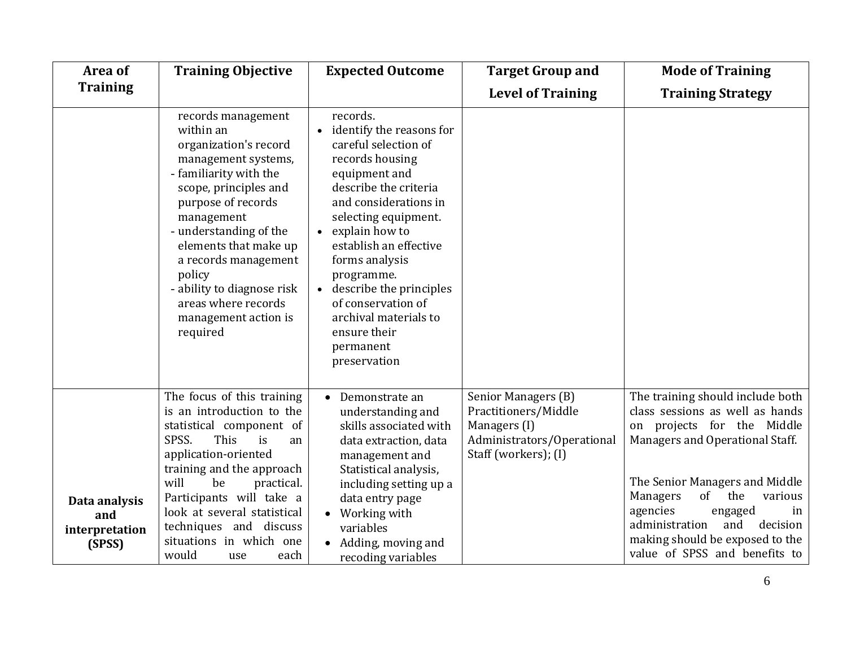| Area of                                          | <b>Training Objective</b>                                                                                                                                                                                                                                                                                                                            | <b>Expected Outcome</b>                                                                                                                                                                                                                                                                                                                                                                        | <b>Target Group and</b>                                                                                           | <b>Mode of Training</b>                                                                                                                                                                                                                                                                                                                          |
|--------------------------------------------------|------------------------------------------------------------------------------------------------------------------------------------------------------------------------------------------------------------------------------------------------------------------------------------------------------------------------------------------------------|------------------------------------------------------------------------------------------------------------------------------------------------------------------------------------------------------------------------------------------------------------------------------------------------------------------------------------------------------------------------------------------------|-------------------------------------------------------------------------------------------------------------------|--------------------------------------------------------------------------------------------------------------------------------------------------------------------------------------------------------------------------------------------------------------------------------------------------------------------------------------------------|
| <b>Training</b>                                  |                                                                                                                                                                                                                                                                                                                                                      |                                                                                                                                                                                                                                                                                                                                                                                                | <b>Level of Training</b>                                                                                          | <b>Training Strategy</b>                                                                                                                                                                                                                                                                                                                         |
|                                                  | records management<br>within an<br>organization's record<br>management systems,<br>- familiarity with the<br>scope, principles and<br>purpose of records<br>management<br>- understanding of the<br>elements that make up<br>a records management<br>policy<br>- ability to diagnose risk<br>areas where records<br>management action is<br>required | records.<br>• identify the reasons for<br>careful selection of<br>records housing<br>equipment and<br>describe the criteria<br>and considerations in<br>selecting equipment.<br>explain how to<br>$\bullet$<br>establish an effective<br>forms analysis<br>programme.<br>• describe the principles<br>of conservation of<br>archival materials to<br>ensure their<br>permanent<br>preservation |                                                                                                                   |                                                                                                                                                                                                                                                                                                                                                  |
| Data analysis<br>and<br>interpretation<br>(SPSS) | The focus of this training<br>is an introduction to the<br>statistical component of<br>SPSS.<br>This<br>is<br>an<br>application-oriented<br>training and the approach<br>will<br>be<br>practical.<br>Participants will take a<br>look at several statistical<br>techniques and discuss<br>situations in which one<br>would<br>each<br>use            | Demonstrate an<br>understanding and<br>skills associated with<br>data extraction, data<br>management and<br>Statistical analysis,<br>including setting up a<br>data entry page<br>Working with<br>variables<br>Adding, moving and<br>recoding variables                                                                                                                                        | Senior Managers (B)<br>Practitioners/Middle<br>Managers (I)<br>Administrators/Operational<br>Staff (workers); (I) | The training should include both<br>class sessions as well as hands<br>on projects for the Middle<br>Managers and Operational Staff.<br>The Senior Managers and Middle<br>of<br>various<br>Managers<br>the<br>agencies<br>engaged<br>in<br>administration<br>decision<br>and<br>making should be exposed to the<br>value of SPSS and benefits to |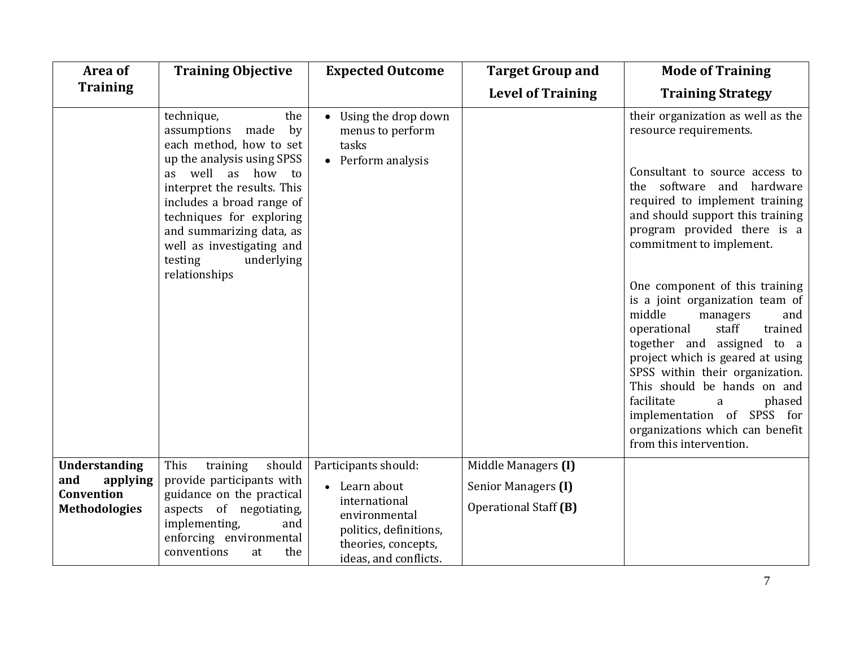| Area of                                 | <b>Training Objective</b>                                                                                                                                                                                                                                                                                                  | <b>Expected Outcome</b>                                                                                  | <b>Target Group and</b>  | <b>Mode of Training</b>                                                                                                                                                                                                                                                                                                                                                                                                                                                                                                                                                                         |
|-----------------------------------------|----------------------------------------------------------------------------------------------------------------------------------------------------------------------------------------------------------------------------------------------------------------------------------------------------------------------------|----------------------------------------------------------------------------------------------------------|--------------------------|-------------------------------------------------------------------------------------------------------------------------------------------------------------------------------------------------------------------------------------------------------------------------------------------------------------------------------------------------------------------------------------------------------------------------------------------------------------------------------------------------------------------------------------------------------------------------------------------------|
| <b>Training</b>                         |                                                                                                                                                                                                                                                                                                                            |                                                                                                          | <b>Level of Training</b> | <b>Training Strategy</b>                                                                                                                                                                                                                                                                                                                                                                                                                                                                                                                                                                        |
|                                         | technique,<br>the<br>assumptions<br>made<br>by<br>each method, how to set<br>up the analysis using SPSS<br>as well as how<br>to<br>interpret the results. This<br>includes a broad range of<br>techniques for exploring<br>and summarizing data, as<br>well as investigating and<br>testing<br>underlying<br>relationships | • Using the drop down<br>menus to perform<br>tasks<br>• Perform analysis                                 |                          | their organization as well as the<br>resource requirements.<br>Consultant to source access to<br>the software and hardware<br>required to implement training<br>and should support this training<br>program provided there is a<br>commitment to implement.<br>One component of this training<br>is a joint organization team of<br>middle<br>managers<br>and<br>staff<br>trained<br>operational<br>together and assigned to a<br>project which is geared at using<br>SPSS within their organization.<br>This should be hands on and<br>facilitate<br>phased<br>a<br>implementation of SPSS for |
|                                         |                                                                                                                                                                                                                                                                                                                            |                                                                                                          |                          | organizations which can benefit<br>from this intervention.                                                                                                                                                                                                                                                                                                                                                                                                                                                                                                                                      |
| <b>Understanding</b><br>and<br>applying | This<br>should<br>training<br>provide participants with                                                                                                                                                                                                                                                                    | Participants should:                                                                                     | Middle Managers (I)      |                                                                                                                                                                                                                                                                                                                                                                                                                                                                                                                                                                                                 |
| Convention                              | guidance on the practical                                                                                                                                                                                                                                                                                                  | • Learn about                                                                                            | Senior Managers (I)      |                                                                                                                                                                                                                                                                                                                                                                                                                                                                                                                                                                                                 |
| <b>Methodologies</b>                    | aspects of negotiating,<br>implementing,<br>and<br>enforcing environmental<br>conventions<br>the<br>at                                                                                                                                                                                                                     | international<br>environmental<br>politics, definitions,<br>theories, concepts,<br>ideas, and conflicts. | Operational Staff (B)    |                                                                                                                                                                                                                                                                                                                                                                                                                                                                                                                                                                                                 |

7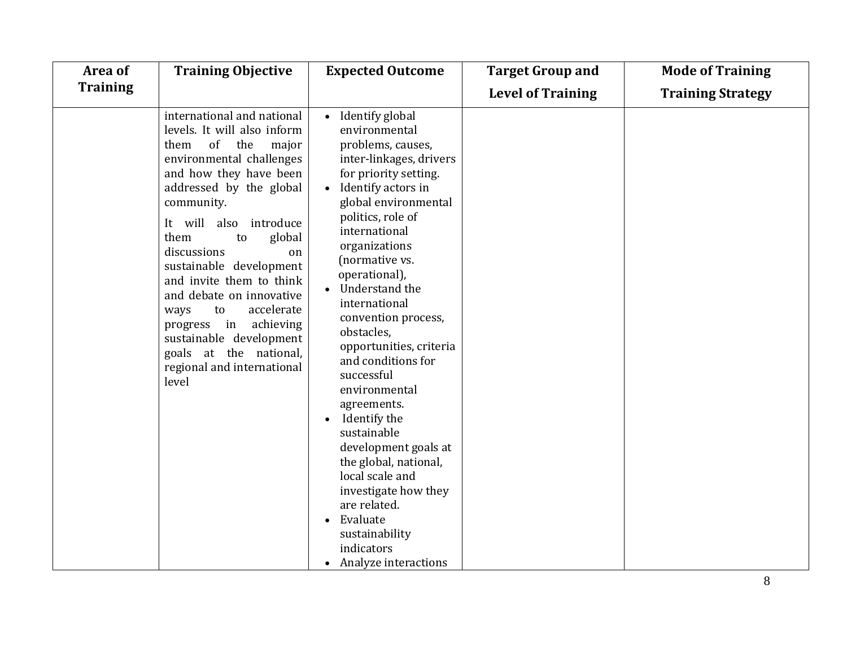| Area of         | <b>Training Objective</b>                                                                                                                                                                                                                                                                                                                                                                                                                                                                            | <b>Expected Outcome</b>                                                                                                                                                                                                                                                                                                                                                                                                                                                                                                                                                                                                                       | <b>Target Group and</b>  | <b>Mode of Training</b>  |
|-----------------|------------------------------------------------------------------------------------------------------------------------------------------------------------------------------------------------------------------------------------------------------------------------------------------------------------------------------------------------------------------------------------------------------------------------------------------------------------------------------------------------------|-----------------------------------------------------------------------------------------------------------------------------------------------------------------------------------------------------------------------------------------------------------------------------------------------------------------------------------------------------------------------------------------------------------------------------------------------------------------------------------------------------------------------------------------------------------------------------------------------------------------------------------------------|--------------------------|--------------------------|
| <b>Training</b> |                                                                                                                                                                                                                                                                                                                                                                                                                                                                                                      |                                                                                                                                                                                                                                                                                                                                                                                                                                                                                                                                                                                                                                               | <b>Level of Training</b> | <b>Training Strategy</b> |
|                 | international and national<br>levels. It will also inform<br>of<br>the<br>them<br>major<br>environmental challenges<br>and how they have been<br>addressed by the global<br>community.<br>It will also introduce<br>them<br>global<br>to<br>discussions<br>on<br>sustainable development<br>and invite them to think<br>and debate on innovative<br>accelerate<br>to<br>ways<br>achieving<br>progress in<br>sustainable development<br>goals at the national,<br>regional and international<br>level | • Identify global<br>environmental<br>problems, causes,<br>inter-linkages, drivers<br>for priority setting.<br>• Identify actors in<br>global environmental<br>politics, role of<br>international<br>organizations<br>(normative vs.<br>operational),<br>Understand the<br>international<br>convention process,<br>obstacles,<br>opportunities, criteria<br>and conditions for<br>successful<br>environmental<br>agreements.<br>Identify the<br>sustainable<br>development goals at<br>the global, national,<br>local scale and<br>investigate how they<br>are related.<br>Evaluate<br>sustainability<br>indicators<br>• Analyze interactions |                          |                          |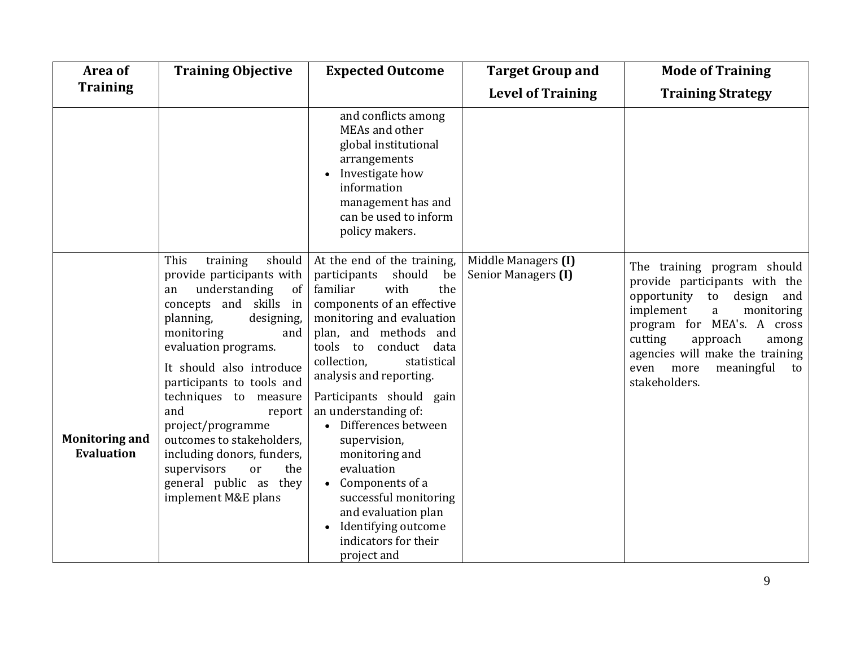| Area of                                    | <b>Training Objective</b>                                                                                                                                                                                                                                                                                                                                                                                                                              | <b>Expected Outcome</b>                                                                                                                                                                                                                                                                                                                                                                                                                                                                                                                                 | <b>Target Group and</b>                    | <b>Mode of Training</b>                                                                                                                                                                                                                                                               |
|--------------------------------------------|--------------------------------------------------------------------------------------------------------------------------------------------------------------------------------------------------------------------------------------------------------------------------------------------------------------------------------------------------------------------------------------------------------------------------------------------------------|---------------------------------------------------------------------------------------------------------------------------------------------------------------------------------------------------------------------------------------------------------------------------------------------------------------------------------------------------------------------------------------------------------------------------------------------------------------------------------------------------------------------------------------------------------|--------------------------------------------|---------------------------------------------------------------------------------------------------------------------------------------------------------------------------------------------------------------------------------------------------------------------------------------|
| <b>Training</b>                            |                                                                                                                                                                                                                                                                                                                                                                                                                                                        |                                                                                                                                                                                                                                                                                                                                                                                                                                                                                                                                                         | <b>Level of Training</b>                   | <b>Training Strategy</b>                                                                                                                                                                                                                                                              |
|                                            |                                                                                                                                                                                                                                                                                                                                                                                                                                                        | and conflicts among<br>MEAs and other<br>global institutional<br>arrangements<br>Investigate how<br>information<br>management has and<br>can be used to inform<br>policy makers.                                                                                                                                                                                                                                                                                                                                                                        |                                            |                                                                                                                                                                                                                                                                                       |
| <b>Monitoring and</b><br><b>Evaluation</b> | This<br>should<br>training<br>provide participants with<br>understanding<br>of<br>an<br>concepts and skills in<br>planning,<br>designing,<br>monitoring<br>and<br>evaluation programs.<br>It should also introduce<br>participants to tools and<br>techniques to measure<br>and<br>report<br>project/programme<br>outcomes to stakeholders,<br>including donors, funders,<br>supervisors<br>the<br>or<br>general public as they<br>implement M&E plans | At the end of the training,<br>participants<br>should<br>be<br>familiar<br>with<br>the<br>components of an effective<br>monitoring and evaluation<br>plan, and methods and<br>tools to<br>conduct data<br>collection,<br>statistical<br>analysis and reporting.<br>Participants should gain<br>an understanding of:<br>• Differences between<br>supervision,<br>monitoring and<br>evaluation<br>Components of a<br>$\bullet$<br>successful monitoring<br>and evaluation plan<br>Identifying outcome<br>$\bullet$<br>indicators for their<br>project and | Middle Managers (I)<br>Senior Managers (I) | The training program should<br>provide participants with the<br>opportunity<br>design<br>and<br>to<br>implement<br>monitoring<br>a<br>program for MEA's. A cross<br>cutting<br>approach<br>among<br>agencies will make the training<br>even more<br>meaningful<br>to<br>stakeholders. |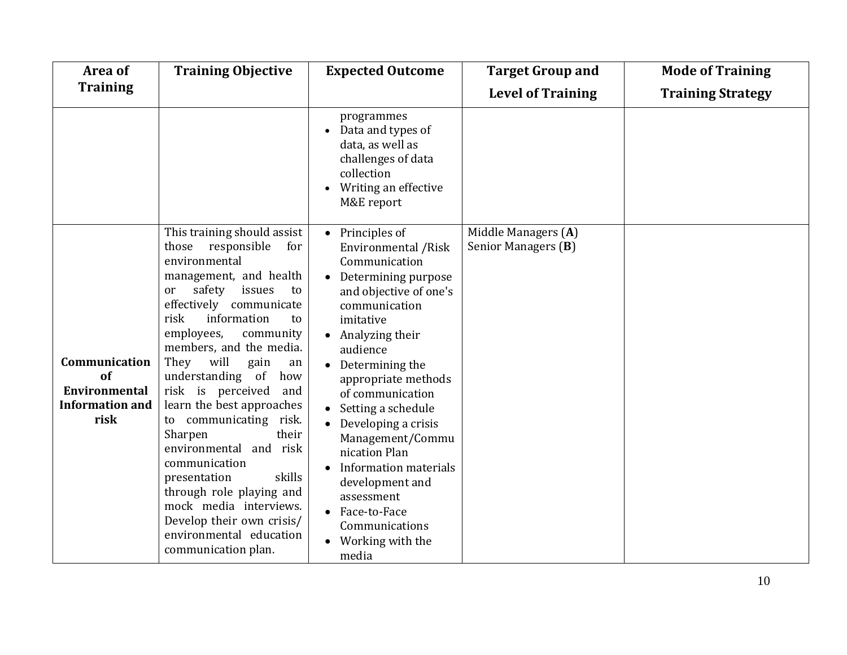| Area of                                                                       | <b>Training Objective</b>                                                                                                                                                                                                                                                                                                                                                                                                                                                                                                                                                                                                  | <b>Expected Outcome</b>                                                                                                                                                                                                                                                                                                                                                                                                                                                                         | <b>Target Group and</b>                    | <b>Mode of Training</b>  |
|-------------------------------------------------------------------------------|----------------------------------------------------------------------------------------------------------------------------------------------------------------------------------------------------------------------------------------------------------------------------------------------------------------------------------------------------------------------------------------------------------------------------------------------------------------------------------------------------------------------------------------------------------------------------------------------------------------------------|-------------------------------------------------------------------------------------------------------------------------------------------------------------------------------------------------------------------------------------------------------------------------------------------------------------------------------------------------------------------------------------------------------------------------------------------------------------------------------------------------|--------------------------------------------|--------------------------|
| <b>Training</b>                                                               |                                                                                                                                                                                                                                                                                                                                                                                                                                                                                                                                                                                                                            |                                                                                                                                                                                                                                                                                                                                                                                                                                                                                                 | <b>Level of Training</b>                   | <b>Training Strategy</b> |
|                                                                               |                                                                                                                                                                                                                                                                                                                                                                                                                                                                                                                                                                                                                            | programmes<br>Data and types of<br>data, as well as<br>challenges of data<br>collection<br>Writing an effective<br>M&E report                                                                                                                                                                                                                                                                                                                                                                   |                                            |                          |
| Communication<br>of<br><b>Environmental</b><br><b>Information and</b><br>risk | This training should assist<br>those responsible<br>for<br>environmental<br>management, and health<br>safety<br>issues<br>or<br>to<br>effectively communicate<br>information<br>risk<br>to<br>employees,<br>community<br>members, and the media.<br>They will<br>gain<br>an<br>understanding of<br>how<br>risk is perceived<br>and<br>learn the best approaches<br>to communicating<br>risk.<br>Sharpen<br>their<br>environmental and risk<br>communication<br>skills<br>presentation<br>through role playing and<br>mock media interviews.<br>Develop their own crisis/<br>environmental education<br>communication plan. | Principles of<br>$\bullet$<br>Environmental / Risk<br>Communication<br>Determining purpose<br>and objective of one's<br>communication<br>imitative<br>$\bullet$ Analyzing their<br>audience<br>• Determining the<br>appropriate methods<br>of communication<br>Setting a schedule<br>$\bullet$ Developing a crisis<br>Management/Commu<br>nication Plan<br>Information materials<br>$\bullet$<br>development and<br>assessment<br>• Face-to-Face<br>Communications<br>Working with the<br>media | Middle Managers (A)<br>Senior Managers (B) |                          |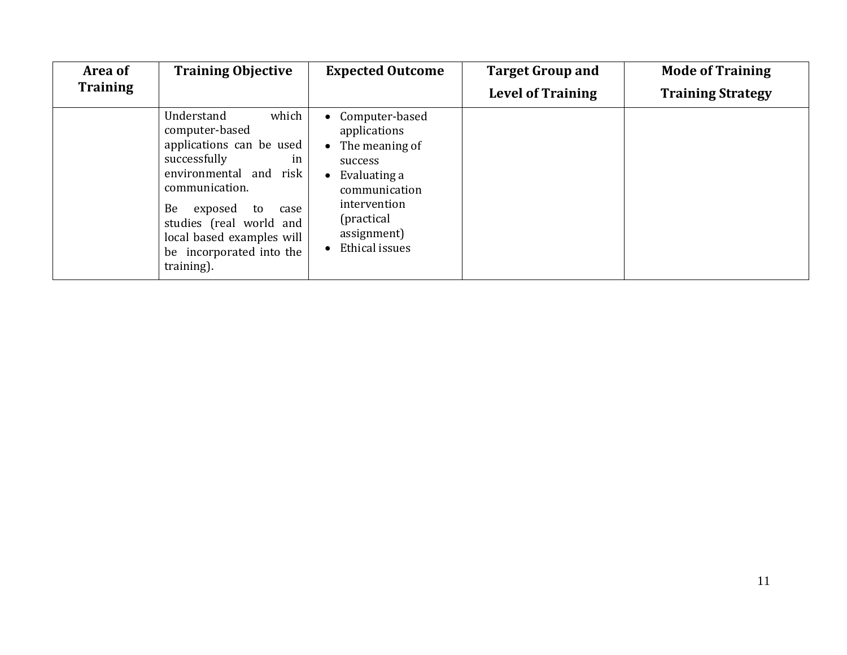| Area of         | <b>Training Objective</b>                                                                                                                                                                                                                                            | <b>Expected Outcome</b>                                                                                                                                                                  | <b>Target Group and</b>  | <b>Mode of Training</b>  |
|-----------------|----------------------------------------------------------------------------------------------------------------------------------------------------------------------------------------------------------------------------------------------------------------------|------------------------------------------------------------------------------------------------------------------------------------------------------------------------------------------|--------------------------|--------------------------|
| <b>Training</b> |                                                                                                                                                                                                                                                                      |                                                                                                                                                                                          | <b>Level of Training</b> | <b>Training Strategy</b> |
|                 | which<br>Understand<br>computer-based<br>applications can be used<br>successfully<br>in<br>environmental and risk<br>communication.<br>Be<br>exposed<br>to<br>case<br>studies (real world and<br>local based examples will<br>be incorporated into the<br>training). | • Computer-based<br>applications<br>The meaning of<br>$\bullet$<br>success<br>Evaluating a<br>$\bullet$<br>communication<br>intervention<br>(practical)<br>assignment)<br>Ethical issues |                          |                          |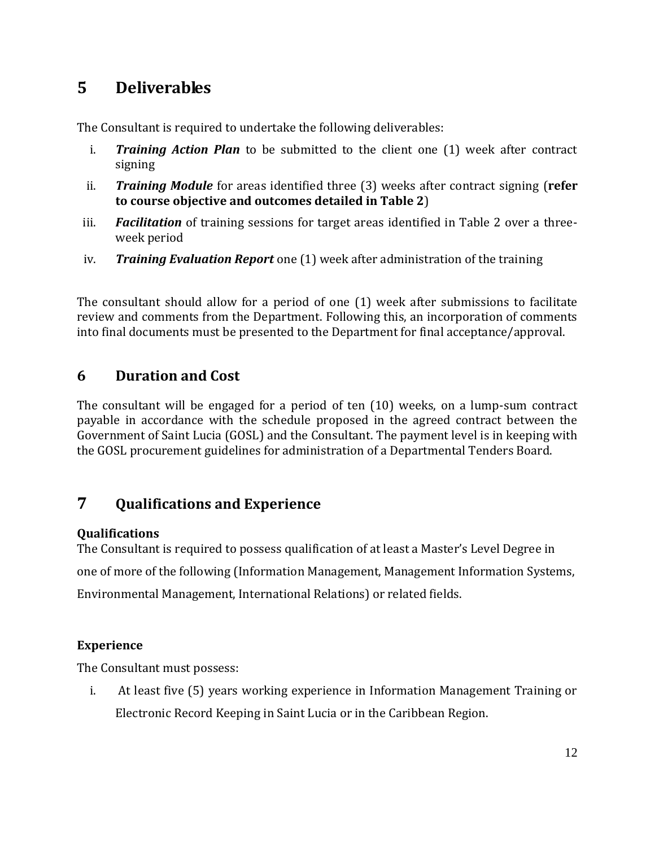### **5 Deliverables**

The Consultant is required to undertake the following deliverables:

- i. *Training Action Plan* to be submitted to the client one (1) week after contract signing
- ii. *Training Module* for areas identified three (3) weeks after contract signing (**refer to course objective and outcomes detailed in Table 2**)
- iii. *Facilitation* of training sessions for target areas identified in Table 2 over a threeweek period
- iv. *Training Evaluation Report* one (1) week after administration of the training

The consultant should allow for a period of one (1) week after submissions to facilitate review and comments from the Department. Following this, an incorporation of comments into final documents must be presented to the Department for final acceptance/approval.

### **6 Duration and Cost**

The consultant will be engaged for a period of ten (10) weeks, on a lump-sum contract payable in accordance with the schedule proposed in the agreed contract between the Government of Saint Lucia (GOSL) and the Consultant. The payment level is in keeping with the GOSL procurement guidelines for administration of a Departmental Tenders Board.

### **7 Qualifications and Experience**

#### **Qualifications**

The Consultant is required to possess qualification of at least a Master's Level Degree in one of more of the following (Information Management, Management Information Systems, Environmental Management, International Relations) or related fields.

#### **Experience**

The Consultant must possess:

i. At least five (5) years working experience in Information Management Training or Electronic Record Keeping in Saint Lucia or in the Caribbean Region.